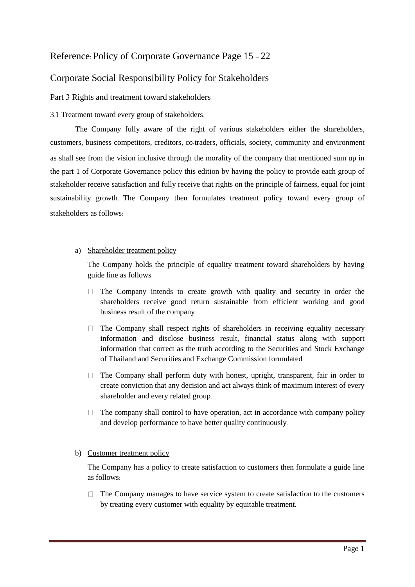# Reference: Policy of Corporate Governance Page 15 – 22

# Corporate Social Responsibility Policy for Stakeholders

Part 3 Rights and treatment toward stakeholders

# 3.1 Treatment toward every group of stakeholders.

The Company fully aware of the right of various stakeholders either the shareholders, customers, business competitors, creditors, co-traders, officials, society, community and environment as shall see from the vision inclusive through the morality of the company that mentioned sum up in the part 1 of Corporate Governance policy this edition by having the policy to provide each group of stakeholder receive satisfaction and fully receive that rights on the principle of fairness, equal for joint sustainability growth. The Company then formulates treatment policy toward every group of stakeholders as follows:

# a) Shareholder treatment policy

The Company holds the principle of equality treatment toward shareholders by having guide line as follows:

- $\Box$  The Company intends to create growth with quality and security in order the shareholders receive good return sustainable from efficient working and good business result of the company.
- $\Box$  The Company shall respect rights of shareholders in receiving equality necessary information and disclose business result, financial status along with support information that correct as the truth according to the Securities and Stock Exchange of Thailand and Securities and Exchange Commission formulated.
- $\Box$  The Company shall perform duty with honest, upright, transparent, fair in order to create conviction that any decision and act always think of maximum interest of every shareholder and every related group.
- $\Box$  The company shall control to have operation, act in accordance with company policy and develop performance to have better quality continuously.

# b) Customer treatment policy

The Company has a policy to create satisfaction to customers then formulate a guide line as follows:

 $\Box$  The Company manages to have service system to create satisfaction to the customers by treating every customer with equality by equitable treatment.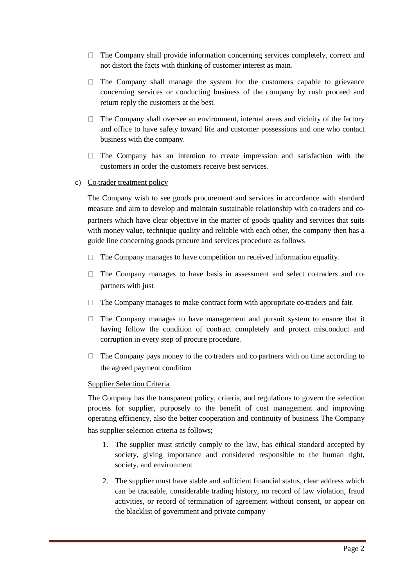- $\Box$  The Company shall provide information concerning services completely, correct and not distort the facts with thinking of customer interest as main.
- $\Box$  The Company shall manage the system for the customers capable to grievance concerning services or conducting business of the company by rush proceed and return reply the customers at the best.
- $\Box$  The Company shall oversee an environment, internal areas and vicinity of the factory and office to have safety toward life and customer possessions and one who contact business with the company.
- $\Box$  The Company has an intention to create impression and satisfaction with the customers in order the customers receive best services.
- c) Co-trader treatment policy

The Company wish to see goods procurement and services in accordance with standard measure and aim to develop and maintain sustainable relationship with co-traders and copartners which have clear objective in the matter of goods quality and services that suits with money value, technique quality and reliable with each other, the company then has a guide line concerning goods procure and services procedure as follows:

- The Company manages to have competition on received information equality.  $\Box$
- $\Box$  The Company manages to have basis in assessment and select co-traders and copartners with just.
- The Company manages to make contract form with appropriate co-traders and fair.
- $\Box$  The Company manages to have management and pursuit system to ensure that it having follow the condition of contract completely and protect misconduct and corruption in every step of procure procedure.
- $\Box$  The Company pays money to the co-traders and co-partners with on time according to the agreed payment condition.

# Supplier Selection Criteria

The Company has the transparent policy, criteria, and regulations to govern the selection process for supplier, purposely to the benefit of cost management and improving operating efficiency, also the better cooperation and continuity of business. The Company has supplier selection criteria as follows;

- 1. The supplier must strictly comply to the law, has ethical standard accepted by society, giving importance and considered responsible to the human right, society, and environment.
- 2. The supplier must have stable and sufficient financial status, clear address which can be traceable, considerable trading history, no record of law violation, fraud activities, or record of termination of agreement without consent, or appear on the blacklist of government and private company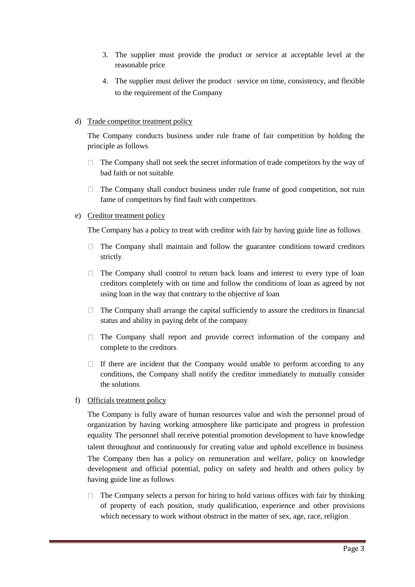- 3. The supplier must provide the product or service at acceptable level at the reasonable price.
- 4. The supplier must deliver the product / service on time, consistency, and flexible to the requirement of the Company

# d) Trade competitor treatment policy

The Company conducts business under rule frame of fair competition by holding the principle as follows:

- $\Box$  The Company shall not seek the secret information of trade competitors by the way of bad faith or not suitable.
- $\Box$  The Company shall conduct business under rule frame of good competition, not ruin fame of competitors by find fault with competitors.

# e) Creditor treatment policy

The Company has a policy to treat with creditor with fair by having guide line as follows:

- $\Box$  The Company shall maintain and follow the guarantee conditions toward creditors strictly.
- $\Box$  The Company shall control to return back loans and interest to every type of loan creditors completely with on time and follow the conditions of loan as agreed by not using loan in the way that contrary to the objective of loan.
- $\Box$  The Company shall arrange the capital sufficiently to assure the creditors in financial status and ability in paying debt of the company.
- $\Box$  The Company shall report and provide correct information of the company and complete to the creditors.
- $\Box$  If there are incident that the Company would unable to perform according to any conditions, the Company shall notify the creditor immediately to mutually consider the solutions.

# f) Officials treatment policy

The Company is fully aware of human resources value and wish the personnel proud of organization by having working atmosphere like participate and progress in profession equality. The personnel shall receive potential promotion development to have knowledge talent throughout and continuously for creating value and uphold excellence in business. The Company then has a policy on remuneration and welfare, policy on knowledge development and official potential, policy on safety and health and others policy by having guide line as follows:

 $\Box$  The Company selects a person for hiring to hold various offices with fair by thinking of property of each position, study qualification, experience and other provisions which necessary to work without obstruct in the matter of sex, age, race, religion.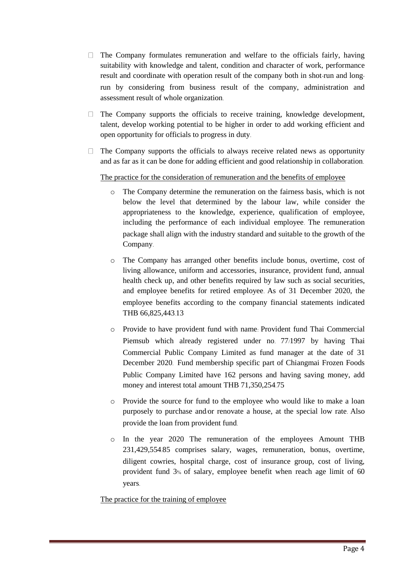- $\Box$  The Company formulates remuneration and welfare to the officials fairly, having suitability with knowledge and talent, condition and character of work, performance result and coordinate with operation result of the company both in shot-run and longrun by considering from business result of the company, administration and assessment result of whole organization.
- $\Box$  The Company supports the officials to receive training, knowledge development, talent, develop working potential to be higher in order to add working efficient and open opportunity for officials to progress in duty.
- $\Box$  The Company supports the officials to always receive related news as opportunity and as far as it can be done for adding efficient and good relationship in collaboration.

The practice for the consideration of remuneration and the benefits of employee

- o The Company determine the remuneration on the fairness basis, which is not below the level that determined by the labour law, while consider the appropriateness to the knowledge, experience, qualification of employee, including the performance of each individual employee. The remuneration package shall align with the industry standard and suitable to the growth of the Company.
- o The Company has arranged other benefits include bonus, overtime, cost of living allowance, uniform and accessories, insurance, provident fund, annual health check up, and other benefits required by law such as social securities, and employee benefits for retired employee. As of 31 December 2020, the employee benefits according to the company financial statements indicated THB 66,825,443.13
- o Provide to have provident fund with name: Provident fund Thai Commercial Piemsub which already registered under no. 77/1997 by having Thai Commercial Public Company Limited as fund manager at the date of 31 December 2020. Fund membership specific part of Chiangmai Frozen Foods Public Company Limited have 162 persons and having saving money, add money and interest total amount THB 71,350,254.75
- o Provide the source for fund to the employee who would like to make a loan purposely to purchase and/or renovate a house, at the special low rate. Also provide the loan from provident fund.
- o In the year 2020 The remuneration of the employees Amount THB 231,429,554.85 comprises salary, wages, remuneration, bonus, overtime, diligent cowries, hospital charge, cost of insurance group, cost of living, provident fund 3% of salary, employee benefit when reach age limit of 60 years.

The practice for the training of employee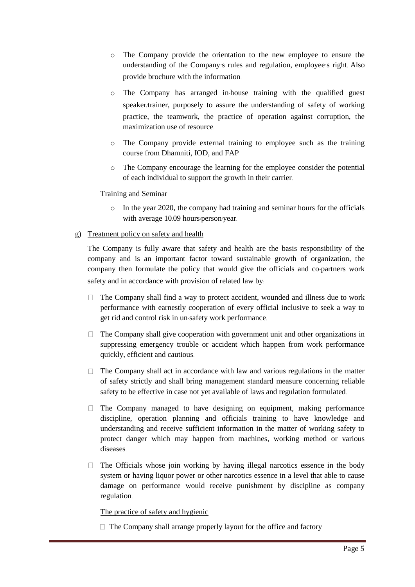- o The Company provide the orientation to the new employee to ensure the understanding of the Company's rules and regulation, employee's right. Also provide brochure with the information.
- o The Company has arranged in-house training with the qualified guest speaker/trainer, purposely to assure the understanding of safety of working practice, the teamwork, the practice of operation against corruption, the maximization use of resource.
- $\circ$  The Company provide external training to employee such as the training course from Dhamniti, IOD, and FAP
- o The Company encourage the learning for the employee consider the potential of each individual to support the growth in their carrier.

## Training and Seminar

o In the year 2020, the company had training and seminar hours for the officials with average 10.09 hours/person/year.

## g) Treatment policy on safety and health

The Company is fully aware that safety and health are the basis responsibility of the company and is an important factor toward sustainable growth of organization, the company then formulate the policy that would give the officials and co-partners work safety and in accordance with provision of related law by:

- $\Box$  The Company shall find a way to protect accident, wounded and illness due to work performance with earnestly cooperation of every official inclusive to seek a way to get rid and control risk in un-safety work performance.
- $\Box$  The Company shall give cooperation with government unit and other organizations in suppressing emergency trouble or accident which happen from work performance quickly, efficient and cautious.
- $\Box$  The Company shall act in accordance with law and various regulations in the matter of safety strictly and shall bring management standard measure concerning reliable safety to be effective in case not yet available of laws and regulation formulated.
- $\Box$  The Company managed to have designing on equipment, making performance discipline, operation planning and officials training to have knowledge and understanding and receive sufficient information in the matter of working safety to protect danger which may happen from machines, working method or various diseases.
- $\Box$  The Officials whose join working by having illegal narcotics essence in the body system or having liquor power or other narcotics essence in a level that able to cause damage on performance would receive punishment by discipline as company regulation.

# The practice of safety and hygienic

 $\Box$  The Company shall arrange properly layout for the office and factory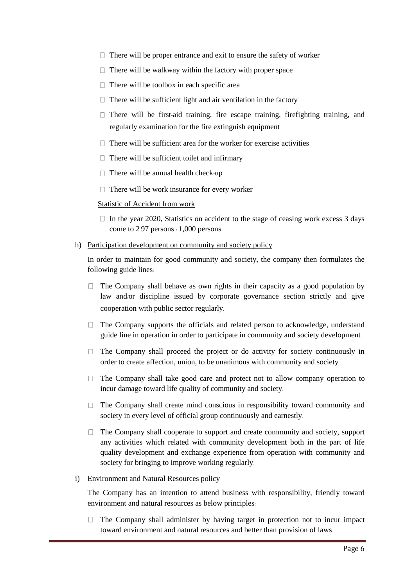- $\Box$  There will be proper entrance and exit to ensure the safety of worker
- $\Box$  There will be walkway within the factory with proper space
- $\Box$  There will be toolbox in each specific area
- $\Box$  There will be sufficient light and air ventilation in the factory
- $\Box$  There will be first-aid training, fire escape training, firefighting training, and regularly examination for the fire extinguish equipment.
- $\Box$  There will be sufficient area for the worker for exercise activities
- $\Box$  There will be sufficient toilet and infirmary
- $\Box$  There will be annual health check-up
- $\Box$  There will be work insurance for every worker

#### Statistic of Accident from work

 $\Box$  In the year 2020, Statistics on accident to the stage of ceasing work excess 3 days come to 2.97 persons / 1,000 persons.

#### h) Participation development on community and society policy

In order to maintain for good community and society, the company then formulates the following guide lines:

- $\Box$  The Company shall behave as own rights in their capacity as a good population by law and/or discipline issued by corporate governance section strictly and give cooperation with public sector regularly.
- $\Box$  The Company supports the officials and related person to acknowledge, understand guide line in operation in order to participate in community and society development.
- $\Box$  The Company shall proceed the project or do activity for society continuously in order to create affection, union, to be unanimous with community and society.
- $\Box$  The Company shall take good care and protect not to allow company operation to incur damage toward life quality of community and society.
- $\Box$  The Company shall create mind conscious in responsibility toward community and society in every level of official group continuously and earnestly.
- $\Box$  The Company shall cooperate to support and create community and society, support any activities which related with community development both in the part of life quality development and exchange experience from operation with community and society for bringing to improve working regularly.

#### i) Environment and Natural Resources policy

The Company has an intention to attend business with responsibility, friendly toward environment and natural resources as below principles:

 $\Box$  The Company shall administer by having target in protection not to incur impact toward environment and natural resources and better than provision of laws.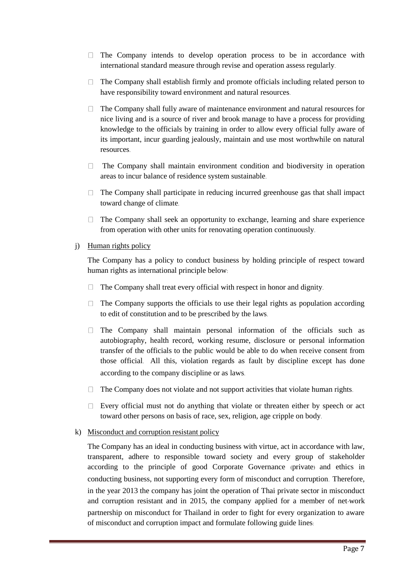- $\Box$  The Company intends to develop operation process to be in accordance with international standard measure through revise and operation assess regularly.
- $\Box$  The Company shall establish firmly and promote officials including related person to have responsibility toward environment and natural resources.
- $\Box$  The Company shall fully aware of maintenance environment and natural resources for nice living and is a source of river and brook manage to have a process for providing knowledge to the officials by training in order to allow every official fully aware of its important, incur guarding jealously, maintain and use most worthwhile on natural resources.
- $\Box$  The Company shall maintain environment condition and biodiversity in operation areas to incur balance of residence system sustainable.
- $\Box$  The Company shall participate in reducing incurred greenhouse gas that shall impact toward change of climate.
- $\Box$  The Company shall seek an opportunity to exchange, learning and share experience from operation with other units for renovating operation continuously.

## j) Human rights policy

The Company has a policy to conduct business by holding principle of respect toward human rights as international principle below:

- The Company shall treat every official with respect in honor and dignity.  $\Box$
- $\Box$ The Company supports the officials to use their legal rights as population according to edit of constitution and to be prescribed by the laws.
- $\Box$  The Company shall maintain personal information of the officials such as autobiography, health record, working resume, disclosure or personal information transfer of the officials to the public would be able to do when receive consent from those official. All this, violation regards as fault by discipline except has done according to the company discipline or as laws.
- $\Box$  The Company does not violate and not support activities that violate human rights.
- $\Box$  Every official must not do anything that violate or threaten either by speech or act toward other persons on basis of race, sex, religion, age cripple on body.

# k) Misconduct and corruption resistant policy

The Company has an ideal in conducting business with virtue, act in accordance with law, transparent, adhere to responsible toward society and every group of stakeholder according to the principle of good Corporate Governance (private) and ethics in conducting business, not supporting every form of misconduct and corruption. Therefore, in the year 2013 the company has joint the operation of Thai private sector in misconduct and corruption resistant and in 2015, the company applied for a member of net-work partnership on misconduct for Thailand in order to fight for every organization to aware of misconduct and corruption impact and formulate following guide lines: